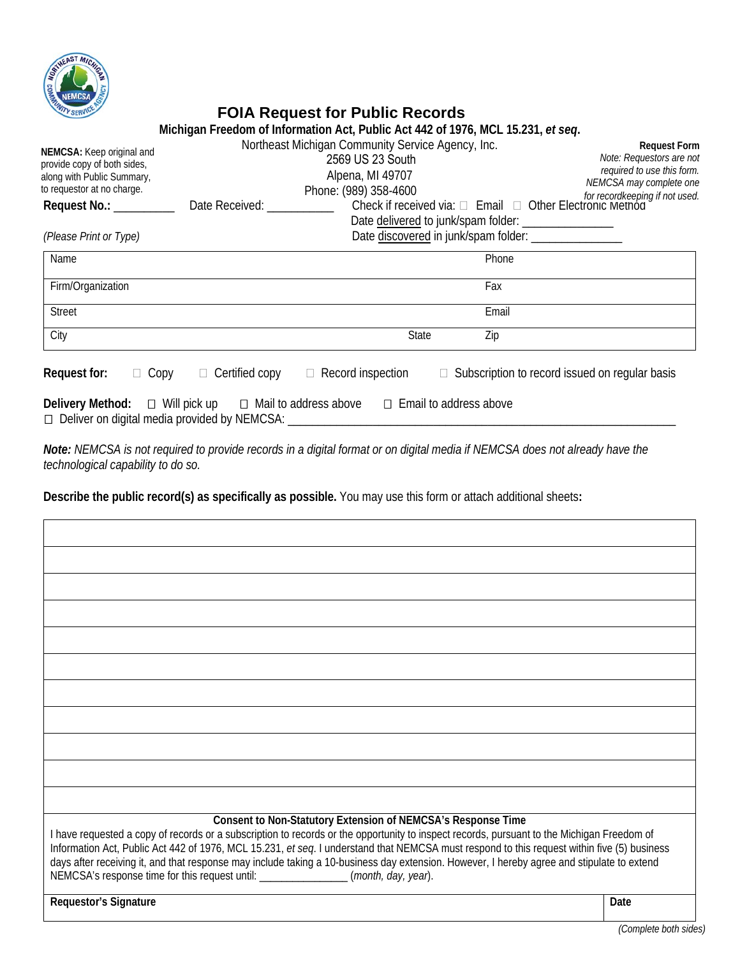

# **FOIA Request for Public Records**

|                                                                                                                      | Michigan Freedom of Information Act, Public Act 442 of 1976, MCL 15.231, et seg.                                                                                                           |                                                                                                                    |                                                          |                                                                                                                                            |
|----------------------------------------------------------------------------------------------------------------------|--------------------------------------------------------------------------------------------------------------------------------------------------------------------------------------------|--------------------------------------------------------------------------------------------------------------------|----------------------------------------------------------|--------------------------------------------------------------------------------------------------------------------------------------------|
| NEMCSA: Keep original and<br>provide copy of both sides,<br>along with Public Summary,<br>to requestor at no charge. |                                                                                                                                                                                            | Northeast Michigan Community Service Agency, Inc.<br>2569 US 23 South<br>Alpena, MI 49707<br>Phone: (989) 358-4600 |                                                          | <b>Request Form</b><br>Note: Requestors are not<br>required to use this form.<br>NEMCSA may complete one<br>for recordkeeping if not used. |
| Request No.: __________                                                                                              | Date Received: Networks and the set of the set of the set of the set of the set of the set of the set of the s                                                                             |                                                                                                                    | Check if received via: □ Email □ Other Electronic Method |                                                                                                                                            |
| (Please Print or Type)                                                                                               |                                                                                                                                                                                            |                                                                                                                    | Date discovered in junk/spam folder: ________________    |                                                                                                                                            |
| Name                                                                                                                 |                                                                                                                                                                                            |                                                                                                                    | Phone                                                    |                                                                                                                                            |
| Firm/Organization                                                                                                    |                                                                                                                                                                                            |                                                                                                                    | Fax                                                      |                                                                                                                                            |
| <b>Street</b>                                                                                                        |                                                                                                                                                                                            |                                                                                                                    | Email                                                    |                                                                                                                                            |
| City                                                                                                                 |                                                                                                                                                                                            | State                                                                                                              | Zip                                                      |                                                                                                                                            |
| Request for:<br>$\Box$ Copy                                                                                          | $\Box$ Certified copy                                                                                                                                                                      | $\Box$ Record inspection                                                                                           |                                                          | $\Box$ Subscription to record issued on regular basis                                                                                      |
|                                                                                                                      | <b>Delivery Method:</b> $\Box$ Will pick up $\Box$ Mail to address above $\Box$ Email to address above<br>□ Deliver on digital media provided by NEMCSA: _________________________________ |                                                                                                                    |                                                          |                                                                                                                                            |

*Note: NEMCSA is not required to provide records in a digital format or on digital media if NEMCSA does not already have the technological capability to do so.*

**Describe the public record(s) as specifically as possible.** You may use this form or attach additional sheets**:** 

| Consent to Non-Statutory Extension of NEMCSA's Response Time<br>I have requested a copy of records or a subscription to records or the opportunity to inspect records, pursuant to the Michigan Freedom of<br>Information Act, Public Act 442 of 1976, MCL 15.231, et seq. I understand that NEMCSA must respond to this request within five (5) business<br>days after receiving it, and that response may include taking a 10-business day extension. However, I hereby agree and stipulate to extend<br>NEMCSA's response time for this request until: _______________(month, day, year). |      |
|----------------------------------------------------------------------------------------------------------------------------------------------------------------------------------------------------------------------------------------------------------------------------------------------------------------------------------------------------------------------------------------------------------------------------------------------------------------------------------------------------------------------------------------------------------------------------------------------|------|
| <b>Requestor's Signature</b>                                                                                                                                                                                                                                                                                                                                                                                                                                                                                                                                                                 | Date |

*(Complete both sides)*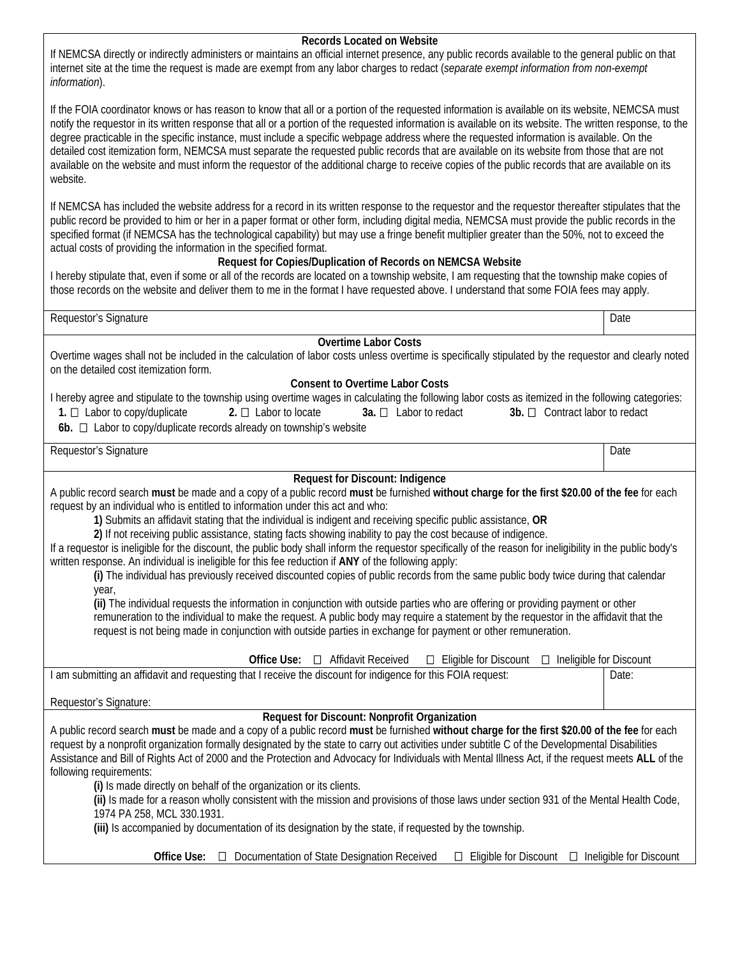#### **Records Located on Website**

If NEMCSA directly or indirectly administers or maintains an official internet presence, any public records available to the general public on that internet site at the time the request is made are exempt from any labor charges to redact (*separate exempt information from non-exempt information*).

If the FOIA coordinator knows or has reason to know that all or a portion of the requested information is available on its website, NEMCSA must notify the requestor in its written response that all or a portion of the requested information is available on its website. The written response, to the degree practicable in the specific instance, must include a specific webpage address where the requested information is available. On the detailed cost itemization form, NEMCSA must separate the requested public records that are available on its website from those that are not available on the website and must inform the requestor of the additional charge to receive copies of the public records that are available on its website.

If NEMCSA has included the website address for a record in its written response to the requestor and the requestor thereafter stipulates that the public record be provided to him or her in a paper format or other form, including digital media, NEMCSA must provide the public records in the specified format (if NEMCSA has the technological capability) but may use a fringe benefit multiplier greater than the 50%, not to exceed the actual costs of providing the information in the specified format.

## **Request for Copies/Duplication of Records on NEMCSA Website**

I hereby stipulate that, even if some or all of the records are located on a township website, I am requesting that the township make copies of those records on the website and deliver them to me in the format I have requested above. I understand that some FOIA fees may apply.

Requestor's Signature Date Date of the Date of the Contract of the Date of the Date of the Date of the Date of the Date of the Date of the Date of the Date of the Date of the Date of the Date of the Date of the Date of the

#### **Overtime Labor Costs**

Overtime wages shall not be included in the calculation of labor costs unless overtime is specifically stipulated by the requestor and clearly noted on the detailed cost itemization form.

## **Consent to Overtime Labor Costs**

|                                                                                 |                           |                       | I hereby agree and stipulate to the township using overtime wages in calculating the following labor costs as itemized in the following categories: |
|---------------------------------------------------------------------------------|---------------------------|-----------------------|-----------------------------------------------------------------------------------------------------------------------------------------------------|
| 1. $\Box$ Labor to copy/duplicate                                               | 2. $\Box$ Labor to locate | 3a. □ Labor to redact | $3b.$ $\Box$ Contract labor to redact                                                                                                               |
| <b>Ab</b> $\Box$ I abor to conviduplicate records already on townshin's website |                           |                       |                                                                                                                                                     |

**6b.** L Labor to copy/duplicate records already on township's website

Requestor's Signature Date **Date of the Contract of Contract and Contract of Contract and Contract of Contract and Contract and Contract and Date of Date of Date of Date of Contract and Date of Date of Date of Date of Date** 

# **Request for Discount: Indigence**

A public record search **must** be made and a copy of a public record **must** be furnished **without charge for the first \$20.00 of the fee** for each request by an individual who is entitled to information under this act and who:

**1)** Submits an affidavit stating that the individual is indigent and receiving specific public assistance, **OR**

**2)** If not receiving public assistance, stating facts showing inability to pay the cost because of indigence.

If a requestor is ineligible for the discount, the public body shall inform the requestor specifically of the reason for ineligibility in the public body's written response. An individual is ineligible for this fee reduction if **ANY** of the following apply:

**(i)** The individual has previously received discounted copies of public records from the same public body twice during that calendar year,

**(ii)** The individual requests the information in conjunction with outside parties who are offering or providing payment or other remuneration to the individual to make the request. A public body may require a statement by the requestor in the affidavit that the request is not being made in conjunction with outside parties in exchange for payment or other remuneration.

| Office<br>Use:                                                                                               | Affidavit Received | Eligible for Discount | Ineligible for Discount |  |
|--------------------------------------------------------------------------------------------------------------|--------------------|-----------------------|-------------------------|--|
| I am submitting an affidavit and requesting that I receive the discount for indigence for this FOIA request: |                    |                       | Date:                   |  |

Requestor's Signature:

# **Request for Discount: Nonprofit Organization**

A public record search **must** be made and a copy of a public record **must** be furnished **without charge for the first \$20.00 of the fee** for each request by a nonprofit organization formally designated by the state to carry out activities under subtitle C of the Developmental Disabilities Assistance and Bill of Rights Act of 2000 and the Protection and Advocacy for Individuals with Mental Illness Act, if the request meets **ALL** of the following requirements:

**(i)** Is made directly on behalf of the organization or its clients.

**(ii)** Is made for a reason wholly consistent with the mission and provisions of those laws under section 931 of the Mental Health Code, 1974 PA 258, MCL 330.1931.

**(iii)** Is accompanied by documentation of its designation by the state, if requested by the township.

**Office Use:**  $\Box$  Documentation of State Designation Received  $\Box$  Eligible for Discount  $\Box$  Ineligible for Discount